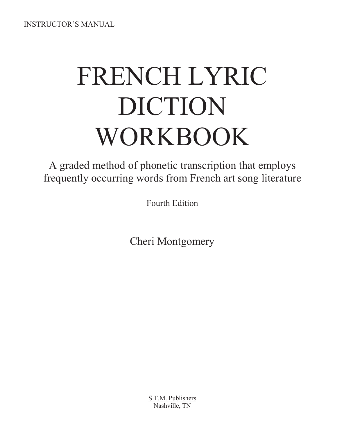INSTRUCTOR'S MANUAL

# FRENCH LYRIC DICTION WORKBOOK

A graded method of phonetic transcription that employs frequently occurring words from French art song literature

Fourth Edition

Cheri Montgomery

S.T.M. Publishers Nashville, TN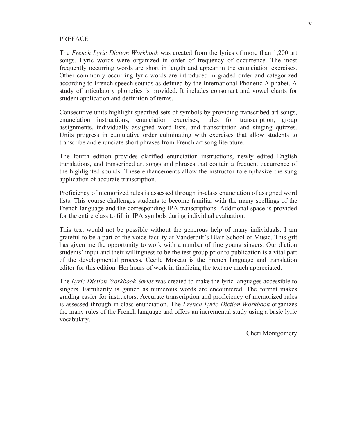#### PREFACE

The *French Lyric Diction Workbook* was created from the lyrics of more than 1,200 art songs. Lyric words were organized in order of frequency of occurrence. The most frequently occurring words are short in length and appear in the enunciation exercises. Other commonly occurring lyric words are introduced in graded order and categorized according to French speech sounds as defined by the International Phonetic Alphabet. A study of articulatory phonetics is provided. It includes consonant and vowel charts for student application and definition of terms.

Consecutive units highlight specified sets of symbols by providing transcribed art songs, enunciation instructions, enunciation exercises, rules for transcription, group assignments, individually assigned word lists, and transcription and singing quizzes. Units progress in cumulative order culminating with exercises that allow students to transcribe and enunciate short phrases from French art song literature.

The fourth edition provides clarified enunciation instructions, newly edited English translations, and transcribed art songs and phrases that contain a frequent occurrence of the highlighted sounds. These enhancements allow the instructor to emphasize the sung application of accurate transcription.

Proficiency of memorized rules is assessed through in-class enunciation of assigned word lists. This course challenges students to become familiar with the many spellings of the French language and the corresponding IPA transcriptions. Additional space is provided for the entire class to fill in IPA symbols during individual evaluation.

This text would not be possible without the generous help of many individuals. I am grateful to be a part of the voice faculty at Vanderbilt's Blair School of Music. This gift has given me the opportunity to work with a number of fine young singers. Our diction students' input and their willingness to be the test group prior to publication is a vital part of the developmental process. Cecile Moreau is the French language and translation editor for this edition. Her hours of work in finalizing the text are much appreciated.

The *Lyric Diction Workbook Series* was created to make the lyric languages accessible to singers. Familiarity is gained as numerous words are encountered. The format makes grading easier for instructors. Accurate transcription and proficiency of memorized rules is assessed through in-class enunciation. The *French Lyric Diction Workbook* organizes the many rules of the French language and offers an incremental study using a basic lyric vocabulary.

Cheri Montgomery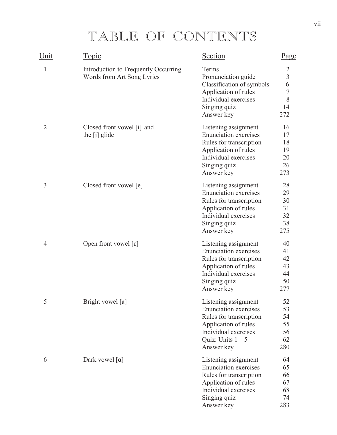## TABLE OF CONTENTS

| Unit           | Topic                                                              | <b>Section</b>                                                                                                                                                       | Page                                                                           |
|----------------|--------------------------------------------------------------------|----------------------------------------------------------------------------------------------------------------------------------------------------------------------|--------------------------------------------------------------------------------|
| $\mathbf{1}$   | Introduction to Frequently Occurring<br>Words from Art Song Lyrics | Terms<br>Pronunciation guide<br>Classification of symbols<br>Application of rules<br>Individual exercises<br>Singing quiz<br>Answer key                              | $\overline{c}$<br>$\begin{array}{c} 3 \\ 6 \\ 7 \end{array}$<br>8<br>14<br>272 |
| $\overline{2}$ | Closed front vowel [i] and<br>the [j] glide                        | Listening assignment<br><b>Enunciation</b> exercises<br>Rules for transcription<br>Application of rules<br>Individual exercises<br>Singing quiz<br>Answer key        | 16<br>17<br>18<br>19<br>20<br>26<br>273                                        |
| 3              | Closed front vowel [e]                                             | Listening assignment<br><b>Enunciation</b> exercises<br>Rules for transcription<br>Application of rules<br>Individual exercises<br>Singing quiz<br>Answer key        | 28<br>29<br>30<br>31<br>32<br>38<br>275                                        |
| 4              | Open front vowel $\lceil \varepsilon \rceil$                       | Listening assignment<br><b>Enunciation</b> exercises<br>Rules for transcription<br>Application of rules<br>Individual exercises<br>Singing quiz<br>Answer key        | 40<br>41<br>42<br>43<br>44<br>50<br>277                                        |
| 5              | Bright vowel [a]                                                   | Listening assignment<br><b>Enunciation exercises</b><br>Rules for transcription<br>Application of rules<br>Individual exercises<br>Quiz: Units $1 - 5$<br>Answer key | 52<br>53<br>54<br>55<br>56<br>62<br>280                                        |
| 6              | Dark vowel [a]                                                     | Listening assignment<br><b>Enunciation</b> exercises<br>Rules for transcription<br>Application of rules<br>Individual exercises<br>Singing quiz<br>Answer key        | 64<br>65<br>66<br>67<br>68<br>74<br>283                                        |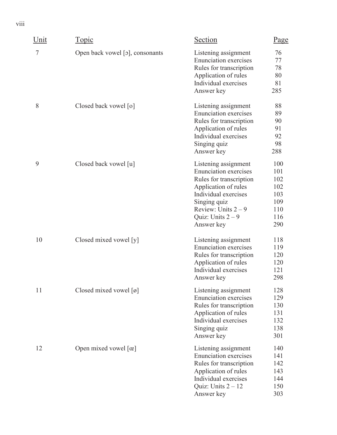| Unit | <u>Topic</u>                                   | Section                                                                                                                                                                                                   | Page                                                        |
|------|------------------------------------------------|-----------------------------------------------------------------------------------------------------------------------------------------------------------------------------------------------------------|-------------------------------------------------------------|
| 7    | Open back vowel [o], consonants                | Listening assignment<br><b>Enunciation</b> exercises<br>Rules for transcription<br>Application of rules<br>Individual exercises<br>Answer key                                                             | 76<br>77<br>78<br>80<br>81<br>285                           |
| 8    | Closed back vowel [0]                          | Listening assignment<br><b>Enunciation</b> exercises<br>Rules for transcription<br>Application of rules<br>Individual exercises<br>Singing quiz<br>Answer key                                             | 88<br>89<br>90<br>91<br>92<br>98<br>288                     |
| 9    | Closed back vowel [u]                          | Listening assignment<br><b>Enunciation</b> exercises<br>Rules for transcription<br>Application of rules<br>Individual exercises<br>Singing quiz<br>Review: Units $2-9$<br>Quiz: Units $2-9$<br>Answer key | 100<br>101<br>102<br>102<br>103<br>109<br>110<br>116<br>290 |
| 10   | Closed mixed vowel [y]                         | Listening assignment<br><b>Enunciation</b> exercises<br>Rules for transcription<br>Application of rules<br>Individual exercises<br>Answer key                                                             | 118<br>119<br>120<br>120<br>121<br>298                      |
| 11   | Closed mixed vowel $\lceil \varnothing \rceil$ | Listening assignment<br><b>Enunciation</b> exercises<br>Rules for transcription<br>Application of rules<br>Individual exercises<br>Singing quiz<br>Answer key                                             | 128<br>129<br>130<br>131<br>132<br>138<br>301               |
| 12   | Open mixed vowel $[\alpha]$                    | Listening assignment<br><b>Enunciation</b> exercises<br>Rules for transcription<br>Application of rules<br>Individual exercises<br>Quiz: Units $2 - 12$<br>Answer key                                     | 140<br>141<br>142<br>143<br>144<br>150<br>303               |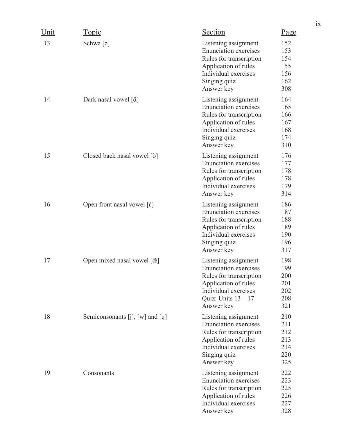| Unit | <b>Topic</b>                                         | Section                                                                                                                                                                | Page                                          |
|------|------------------------------------------------------|------------------------------------------------------------------------------------------------------------------------------------------------------------------------|-----------------------------------------------|
| 13   | Schwa [ə]                                            | Listening assignment<br><b>Enunciation exercises</b><br>Rules for transcription<br>Application of rules<br>Individual exercises<br>Singing quiz<br>Answer key          | 152<br>153<br>154<br>155<br>156<br>162<br>308 |
| 14   | Dark nasal vowel [ $\tilde{a}$ ]                     | Listening assignment<br><b>Enunciation</b> exercises<br>Rules for transcription<br>Application of rules<br>Individual exercises<br>Singing quiz<br>Answer key          | 164<br>165<br>166<br>167<br>168<br>174<br>310 |
| 15   | Closed back nasal vowel [õ]                          | Listening assignment<br><b>Enunciation</b> exercises<br>Rules for transcription<br>Application of rules<br>Individual exercises<br>Answer key                          | 176<br>177<br>178<br>178<br>179<br>314        |
| 16   | Open front nasal vowel [ $\tilde{\epsilon}$ ]        | Listening assignment<br><b>Enunciation exercises</b><br>Rules for transcription<br>Application of rules<br>Individual exercises<br>Singing quiz<br>Answer key          | 186<br>187<br>188<br>189<br>190<br>196<br>317 |
| 17   | Open mixed nasal vowel $\left[\tilde{\alpha}\right]$ | Listening assignment<br><b>Enunciation exercises</b><br>Rules for transcription<br>Application of rules<br>Individual exercises<br>Quiz: Units $13 - 17$<br>Answer key | 198<br>199<br>200<br>201<br>202<br>208<br>321 |
| 18   | Semiconsonants [j], [w] and [q]                      | Listening assignment<br><b>Enunciation</b> exercises<br>Rules for transcription<br>Application of rules<br>Individual exercises<br>Singing quiz<br>Answer key          | 210<br>211<br>212<br>213<br>214<br>220<br>325 |
| 19   | Consonants                                           | Listening assignment<br><b>Enunciation</b> exercises<br>Rules for transcription<br>Application of rules<br>Individual exercises<br>Answer key                          | 222<br>223<br>225<br>226<br>227<br>328        |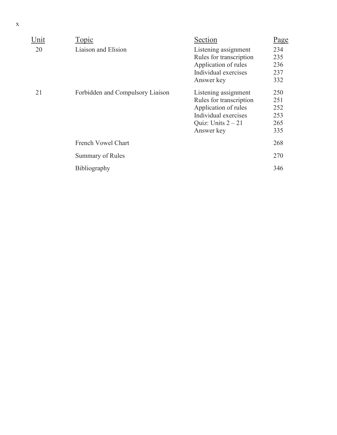| Unit | Topic                            | Section                                                                                                                               | Page                                   |
|------|----------------------------------|---------------------------------------------------------------------------------------------------------------------------------------|----------------------------------------|
| 20   | Liaison and Elision              | Listening assignment<br>Rules for transcription<br>Application of rules<br>Individual exercises<br>Answer key                         | 234<br>235<br>236<br>237<br>332        |
| 21   | Forbidden and Compulsory Liaison | Listening assignment<br>Rules for transcription<br>Application of rules<br>Individual exercises<br>Quiz: Units $2 - 21$<br>Answer key | 250<br>251<br>252<br>253<br>265<br>335 |
|      | French Vowel Chart               |                                                                                                                                       | 268                                    |
|      | <b>Summary of Rules</b>          |                                                                                                                                       | 270                                    |
|      | Bibliography                     |                                                                                                                                       | 346                                    |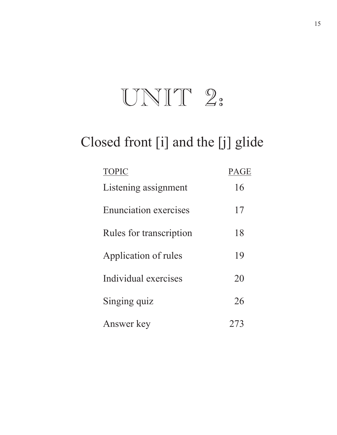## UNIT 2:

## Closed front [i] and the [j] glide

| <b>TOPIC</b>                 | PAGE |
|------------------------------|------|
| Listening assignment         | 16   |
| <b>Enunciation exercises</b> | 17   |
| Rules for transcription      | 18   |
| Application of rules         | 19   |
| Individual exercises         | 20   |
| Singing quiz                 | 26   |
| Answer key                   | 273  |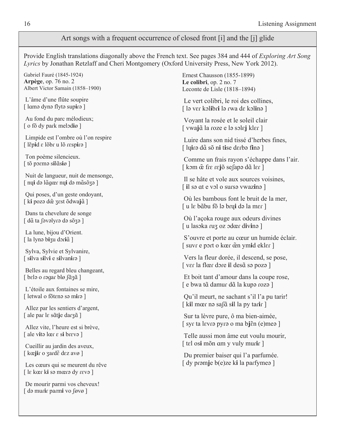#### Art songs with a frequent occurrence of closed front [i] and the [j] glide

Provide English translations diagonally above the French text. See pages 384 and 444 of *Exploring Art Song Lyrics* by Jonathan Retzlaff and Cheri Montgomery (Oxford University Press, New York 2012).

Gabriel Fauré (1845-1924) **Arpège**, op. 76 no. 2 Albert Victor Samain (1858–1900)

 L'âme d'une flûte soupire [ lamə dynə flytə supirə ]

 Au fond du parc mélodieux; [ o fõ dy park melodiø ]

 Limpide est l'ombre où l'on respire [ lɛ̃p**i**d ε lõbr u lõ respirə ]

 Ton poème silencieux.  $[$  tõ pɔɛmə s**i**lɑ̃s**i**ø ]

 Nuit de langueur, nuit de mensonge,  $[$  ny**i** də lãgœr ny**i** də mãsõzə ]

 Qui poses, d'un geste ondoyant,  $[$  k**i** pozə d $\tilde{\textbf{e}}$  ʒɛst õdwa**j** $\tilde{\textbf{a}}$   $]$ 

 Dans ta chevelure de songe [ dã ta ∫əvəlyrə də sõʒə ]

 La lune, bijou d'Orient. [ la lynԥ b**i**ݤu dݐܧ**i**ܤѺ ]

 Sylva, Sylvie et Sylvanire, [ s**i**lva s**i**lv**i** e s**i**lvan**i**ݐԥ ]

 Belles au regard bleu changeant, [ bɛlə o ɾəgaɾ blø ʃɑ̃ʒɑ̃ ]

 L'étoile aux fontaines se mire, [ letwal o fõtena sa mira ]

 Allez par les sentiers d'argent,  $[$  ale par l $\varepsilon$  sãt**j**e dar $\zeta$ ã  $]$ 

 Allez vite, l'heure est si brève, [ ale vita lœr  $\varepsilon$  si breva ]

 Cueillir au jardin des aveux,  $[$  kœ**ji**r o ʒardɛ̃ dɛz avø ]

 Les cœurs qui se meurent du rêve [ lܭ kœݐ k**i** sԥ mœݐԥ dy ܭݐvԥ ]

 De mourir parmi vos cheveux! [ də murir parmi vo føvø ]

Ernest Chausson (1855-1899) **Le colibri**, op. 2 no. 7 Leconte de Lisle (1818–1894)

 Le vert colibri, le roi des collines, [ lạ ver kolibri lạ rwa de kolina ]

 Voyant la rosée et le soleil clair  $[$  vwa**j** $\tilde{a}$  la roze e lə səlɛ**j** klɛɾ ]

 Luire dans son nid tissé d'herbes fines, [ lܷ**i**ݐԥ dܤѺ sõ n**i** t**i**se dݐܭbԥ f**i**nԥ ]

 Comme un frais rayon s'échappe dans l'air.  $[$  kɔm  $\tilde{\mathbf{\alpha}}$  fɾɛ ɾɛ**j**õ seʃapə d $\tilde{\mathbf{a}}$  lɛɾ ]

 Il se hâte et vole aux sources voisines, [ **i**l so at e vol o surso vwazino ]

 Où les bambous font le bruit de la mer, [ u lܭ bܤѺ bu fõ lԥ bݐܷ**i** dԥ la mݐܭ [

 Où l'açoka rouge aux odeurs divines [ u lasoka ruz oz odœr divina ]

 S'ouvre et porte au cœur un humide éclair.  $[$  suvr e port o kœr œ̃n ym**i**d ekler  $]$ 

 Vers la fleur dorée, il descend, se pose,  $[$  vɛɾ la flœɾ dɔɾe **i**l desɑ̃ sə pozə ]

 Et boit tant d'amour dans la coupe rose, [ e bwa tɑ̃ damuɾ dɑ̃ la kupə ɾozə ]

 Qu'il meurt, ne sachant s'il l'a pu tarir!  $[kil \text{ more no } \text{safe} \text{ will la py } \text{tar} \text{!})$ 

 Sur ta lèvre pure, ô ma bien-aimée, [ syr ta lɛvrə pyrə o ma bjɛ̃n (e)meə ]

 Telle aussi mon âme eut voulu mourir, [ tɛl os**i** mõn am y vuly murir ]

 Du premier baiser qui l'a parfumée. [ dy pramje b(e)ze ki la parfymea ]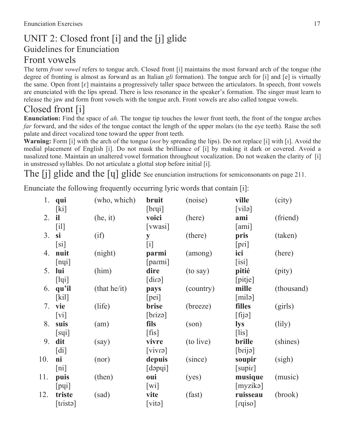#### UNIT 2: Closed front [i] and the [j] glide Guidelines for Enunciation Front vowels

The term *front vowel* refers to tongue arch. Closed front [i] maintains the most forward arch of the tongue (the degree of fronting is almost as forward as an Italian *gli* formation). The tongue arch for [i] and [e] is virtually the same. Open front  $[\varepsilon]$  maintains a progressively taller space between the articulators. In speech, front vowels are enunciated with the lips spread. There is less resonance in the speaker's formation. The singer must learn to release the jaw and form front vowels with the tongue arch. Front vowels are also called tongue vowels.

### Closed front [i]

**Enunciation:** Find the space of *ah*. The tongue tip touches the lower front teeth, the front of the tongue arches *far* forward, and the sides of the tongue contact the length of the upper molars (to the eye teeth). Raise the soft palate and direct vocalized tone toward the upper front teeth.

**Warning:** Form [i] with the arch of the tongue (*not* by spreading the lips). Do not replace [i] with [ܼ]. Avoid the medial placement of English [i]. Do not mask the brilliance of [i] by making it dark or covered. Avoid a nasalized tone. Maintain an unaltered vowel formation throughout vocalization. Do not weaken the clarity of [i] in unstressed syllables. Do not articulate a glottal stop before initial [i].

The [j] glide and the [y] glide See enunciation instructions for semiconsonants on page 211.

Enunciate the following frequently occurring lyric words that contain [i]:

| 1.  | qui                       | (who, which) | bruit                     | (noise)        | ville           | (city)          |
|-----|---------------------------|--------------|---------------------------|----------------|-----------------|-----------------|
|     | [k]                       |              | [brui]                    |                | $[\text{vilo}]$ |                 |
| 2.  | il                        | (he, it)     | voici                     | (here)         | ami             | (friend)        |
|     | $\lceil$ il]              |              | [vwasi]                   |                | [ami]           |                 |
| 3.  | si                        | (i f)        | ${\bf y}$                 | (there)        | pris            | (taken)         |
|     | $[s_i]$                   |              | [i]                       |                | [pri]           |                 |
| 4.  | nuit                      | (night)      | parmi                     | (among)        | ici             | (here)          |
|     | [nq]                      |              | [parmi]                   |                | [isi]           |                 |
| 5.  | lui                       | (him)        | dire                      | (to say)       | pitié           | (pity)          |
|     | [1q]                      |              | [ <i>circle</i> ]         |                | [pitje]         |                 |
| 6.  | qu'il                     | (that he/it) | pays                      | (country)      | mille           | (thousand)      |
|     | [kil]                     |              | [pei]                     |                | [mil]           |                 |
| 7.  | vie                       | (life)       | brise                     | (breeze)       | filles          | (girls)         |
|     | $\lceil vi \rceil$        |              | $[\text{briza}]$          |                | [fig]           |                 |
| 8.  | suis                      | (am)         | fils                      | $(\text{son})$ | <b>lys</b>      | $\text{(lily)}$ |
|     | [sq]                      |              | $[$ fis $]$               |                | $[$ lis $]$     |                 |
| 9.  | dit                       | (say)        | vivre                     | (to live)      | brille          | (shines)        |
|     | $\lceil \text{di} \rceil$ |              | $[$ caviv $]$             |                | [brija]         |                 |
| 10. | ni                        | (nor)        | depuis                    | (since)        | soupir          | (sigh)          |
|     | $\lceil \text{ni} \rceil$ |              | $[$ dəp $[$               |                | [supir]         |                 |
| 11. | puis                      | (then)       | oui                       | (yes)          | musique         | (music)         |
|     | [pq]                      |              | $\lceil \text{wi} \rceil$ |                | [myzikə]        |                 |
| 12. | triste                    | (sad)        | vite                      | (fast)         | ruisseau        | (brook)         |
|     | [trista]                  |              | $[\text{vita}]$           |                | [ruiso]         |                 |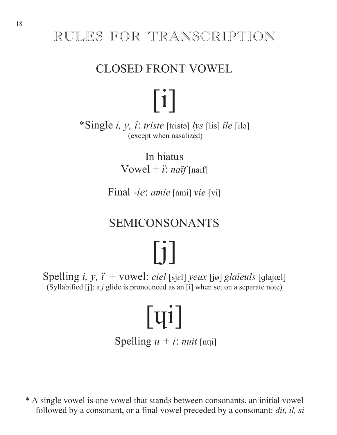## RULES FOR TRANSCRIPTION

## CLOSED FRONT VOWEL

\*Single *i, y, î: triste* [tristə] *lys* [lis] *île* [ilə] (except when nasalized)

 $\lceil i \rceil$ 

In hiatus Vowel +  $\ddot{i}$ : *naïf* [naif]

Final *-ie*: *amie* [ami] *vie* [vi]

## SEMICONSONANTS

[j] Spelling *i, y, ï* + vowel: *ciel* [sjɛl] *yeux* [jø] *glaïeuls* [glajœl] (Syllabified [j]: a *j* glide is pronounced as an [i] when set on a separate note)

# $\lceil$   $q$ i]

Spelling  $u + i$ : *nuit* [nui]

\* A single vowel is one vowel that stands between consonants, an initial vowel followed by a consonant, or a final vowel preceded by a consonant: *dit, il, si*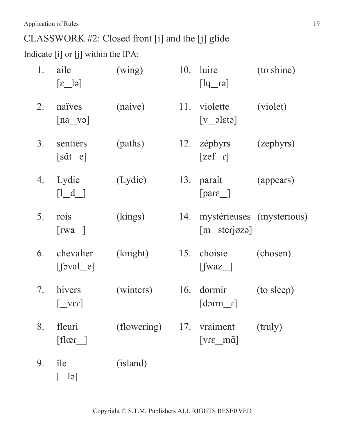CLASSWORK #2: Closed front [i] and the [j] glide

Indicate [i] or [j] within the IPA:

| 1. | aile<br>$\lbrack \varepsilon \underline{\hspace{0.2cm}}$ $\vert \varepsilon \vert$ | (wing)                   |     | 10. luire<br>$[\text{er}$                   | (to shine) |
|----|------------------------------------------------------------------------------------|--------------------------|-----|---------------------------------------------|------------|
| 2. | naïves<br>$[na$ və                                                                 | (naive)                  |     | 11. violette<br>$[v_0]$                     | (violet)   |
| 3. | sentiers<br>$[s\tilde{a}t_e]$                                                      | (paths)                  |     | 12. zéphyrs<br>$\lceil \text{zef}_r \rceil$ | (zephyrs)  |
| 4. | Lydie<br>$\begin{bmatrix} 1 & d \end{bmatrix}$                                     | (Lydie)                  | 13. | paraît<br>$\lceil \text{pare} \rceil$       | (appears)  |
| 5. | rois<br>$\lceil \text{rwa} \rceil$                                                 | (kings)                  | 14. | mystérieuses (mysterious)<br>$[m_sterjøzə]$ |            |
| 6. | chevalier<br>$\left[\left\lceil \text{eval}_e \right\rceil \right]$                | (knight)                 |     | 15. choisie<br>$\left[\text{fwaz}\right]$   | (chosen)   |
| 7. | hivers<br>$\lceil \sqrt{2V} \rceil$                                                | (winters)                |     | 16. dormir<br>$\lceil$ mcb]                 | (to sleep) |
| 8. | fleuri<br>$\lceil \text{flær} \rceil$                                              | (flowering) 17. vraiment |     | $[vr\varepsilon_m\tilde{m}\tilde{a}]$       | (truly)    |
| 9. | île<br> e                                                                          | (island)                 |     |                                             |            |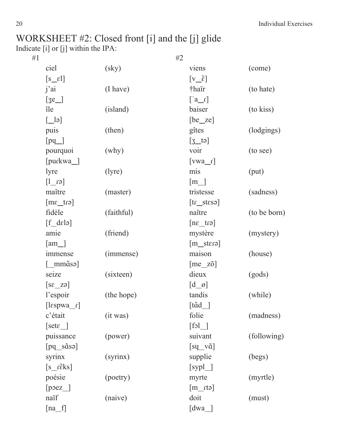#### WORKSHEET #2: Closed front [i] and the [j] glide Indicate [i] or [j] within the IPA:

| #1 | #2                                           |                        |                                           |              |
|----|----------------------------------------------|------------------------|-------------------------------------------|--------------|
|    | ciel                                         | $\left($ sky $\right)$ | viens                                     | (come)       |
|    | $[s$ $\varepsilon$ <sup>1</sup> ]            |                        | $[v_{\text{r}}\tilde{\epsilon}]$          |              |
|    | j'ai                                         | (I have)               | †haïr                                     | (to hate)    |
|    | $[3e_$                                       |                        | $[a_1]$                                   |              |
|    | île                                          | (island)               | baiser                                    | (to kiss)    |
|    | $\begin{bmatrix} \boxed{-} \\ \end{bmatrix}$ |                        | $[be\_ze]$                                |              |
|    | puis                                         | (then)                 | gîtes                                     | (lodgings)   |
|    | [pq                                          |                        | $[3$ tə]                                  |              |
|    | pourquoi                                     | (why)                  | voir                                      | (to see)     |
|    | $[puckwa_$                                   |                        | $[vwa_r]$                                 |              |
|    | lyre                                         | (lyre)                 | mis                                       | (put)        |
|    | $[\epsilon_1$ [ $]$ ]                        |                        | $\lceil m \rfloor$                        |              |
|    | maître                                       | (master)               | tristesse                                 | (sadness)    |
|    | $[\text{enz\_tra}]$                          |                        | $[tr\_stess]$                             |              |
|    | fidèle                                       | (faithful)             | naître                                    | (to be born) |
|    | $[f_d$ delə]                                 |                        | $[ne\_tr$ a                               |              |
|    | amie                                         | (friend)               | mystère                                   | (mystery)    |
|    | $\lceil am \_$                               |                        | $[m_stero]$                               |              |
|    | immense                                      | (immense)              | maison                                    | (house)      |
|    | $\lceil \text{mm}$ asə                       |                        | $[me_ z\tilde{o}]$                        |              |
|    | seize                                        | (sixteen)              | dieux                                     | (gods)       |
|    | $[sz_za]$                                    |                        | $[d_0]$                                   |              |
|    | l'espoir                                     | (the hope)             | tandis                                    | (while)      |
|    | $[\text{lespwa}_r]$                          |                        | $\lceil \tilde{\text{t\ddot{a}d}} \rceil$ |              |
|    | c'était                                      | (it was)               | folie                                     | (madness)    |
|    | $[set \varepsilon]$                          |                        | $[f \circ l$                              |              |
|    | puissance                                    | (power)                | suivant                                   | (following)  |
|    | $[pq_s\tilde{a}s]$                           |                        | $[sq$ <sub>v</sub> $\tilde{a}]$           |              |
|    | syrinx                                       | (syrinx)               | supplie                                   | (begs)       |
|    | $[s_i$ c $\tilde{g}_i$                       |                        | [sypl                                     |              |
|    | poésie                                       | (poetry)               | myrte                                     | (myrtle)     |
|    | [poez]                                       |                        | $[m_{rt}]$                                |              |
|    | naïf                                         | (naive)                | doit                                      | (must)       |
|    | $[na_f]$                                     |                        | [dwa_                                     |              |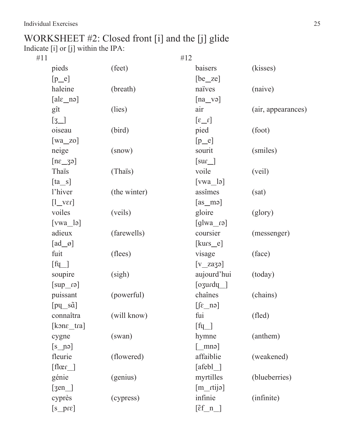#### WORKSHEET #2: Closed front [i] and the [j] glide Indicate [i] or [j] within the IPA:

| #12                                 |              |                                                  |                    |
|-------------------------------------|--------------|--------------------------------------------------|--------------------|
| pieds                               | (feet)       | baisers                                          | (kisses)           |
| $[p_e]$                             |              | $[be\_ze]$                                       |                    |
| haleine                             | (breath)     | naïves                                           | (naive)            |
| $[ale\_ne]$                         |              | $[na$ və]                                        |                    |
| gît                                 | (lies)       | air                                              | (air, appearances) |
| $\begin{bmatrix} 3 \end{bmatrix}$   |              | $\left[\iota_2\right]$                           |                    |
| oiseau                              | (bird)       | pied                                             | (foot)             |
| $[wa_zo]$                           |              | $[p_e]$                                          |                    |
| neige                               | (snow)       | sourit                                           | (smiles)           |
| $[n\varepsilon_3]$                  |              | $\lceil \text{sur} \rfloor$                      |                    |
| Thais                               | (Thaïs)      | voile                                            | (veil)             |
| $[ta_s]$                            |              | $[vwa_l]$                                        |                    |
| l'hiver                             | (the winter) | assîmes                                          | (sat)              |
| $[1 \text{vec}]$                    |              | $[as\_me]$                                       |                    |
| voiles                              | (veils)      | gloire                                           | (glory)            |
| $[vwa_l]$                           |              | $[g]$ wa raj                                     |                    |
| adieux                              | (farewells)  | coursier                                         | (messenger)        |
| $\left[\text{ad}\_\text{\O}\right]$ |              | [kurs_e]                                         |                    |
| fuit                                | (flees)      | visage                                           | (face)             |
| $[\mathrm{f} \mathrm{u}]$           |              | $[v_za33]$                                       |                    |
| soupire                             | (sigh)       | aujourd'hui                                      | (today)            |
| $[\text{euq}]$                      |              | $\sqrt{q}$ ozurdy $\sqrt{q}$                     |                    |
| puissant                            | (powerful)   | chaînes                                          | (chains)           |
| $[pq_s\tilde{a}]$                   |              | $[\text{f}e_n]$                                  |                    |
| connaîtra                           | (will know)  | fui                                              | (fled)             |
| $[kone_{1}]$                        |              | $[\text{fu}]$                                    |                    |
| cygne                               | (swan)       | hymne                                            | (anthem)           |
| $[s$ nə]                            |              | $\lceil$ mnə $\rceil$                            |                    |
| fleurie                             | (flowered)   | affaiblie                                        | (weakened)         |
| [flær]                              |              | $[afebl$ ]                                       |                    |
| génie                               | (genius)     | myrtilles                                        | (blueberries)      |
| $\text{[gen]}$                      |              | $[m_{tilde}]$                                    |                    |
| cyprès                              | (cypress)    | infinie                                          | (infinite)         |
| $[s_p \rightarrow s]$               |              | $[\tilde{\epsilon} \underline{f} \underline{n}]$ |                    |
|                                     |              |                                                  |                    |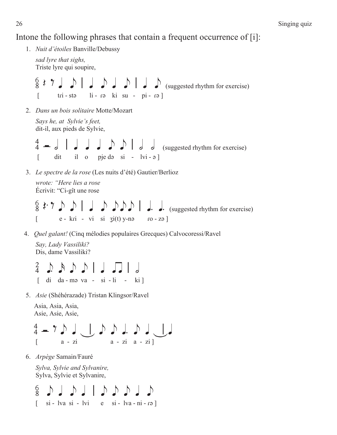Intone the following phrases that contain a frequent occurrence of [i]:

- 1. *Nuit d'étoiles* Banville/Debussy *sad lyre that sighs,*  Triste lyre qui soupire,  $\frac{6}{8}$   $\frac{2}{7}$   $\frac{1}{9}$   $\frac{1}{9}$   $\frac{1}{9}$   $\frac{1}{9}$   $\frac{1}{9}$   $\frac{1}{9}$   $\frac{1}{9}$   $\frac{1}{9}$  (suggested rhythm for exercise) [ tݐi - stԥ li - ݐԥ ki su - pi - ݐԥ ] 2. *Dans un bois solitaire* Motte/Mozart *Says he, at Sylvie's feet,*  dit-il, aux pieds de Sylvie,  $\int \int \int$   $\int$   $\int$   $\int$  (suggested rhythm for exercise)  $\begin{bmatrix} \n\end{bmatrix}$  dit il o pje d $\alpha$  si - lvi -  $\alpha$  ] 3. *Le spectre de la rose* (Les nuits d'été) Gautier/Berlioz *wrote: "Here lies a rose* Écrivit: "Ci-gît une rose P JE e e \ q e eee \ j j (suggested rhythm for exercise)  $\begin{bmatrix} e - kr i - v i & s i & g i(t) y-na & r o - z a \end{bmatrix}$ 4. *Quel galant!* (Cinq mélodies populaires Grecques) Calvocoressi/Ravel
	- *Say, Lady Vassiliki?* Dis, dame Vassiliki?

 $^{2}_{4}$  d d d l l  $\Box$  $\begin{bmatrix} \text{di} & \text{da - mə va - si - li} \\ \text{-i} & \text{- ki} \end{bmatrix}$ 

5. *Asie* (Shéhérazade) Tristan Klingsor/Ravel

 Asia, Asia, Asia, Asie, Asie, Asie,

 \$ H E e qV e e j e qVq [ a - zi a - zi a - zi ]

6. *Arpège* Samain/Fauré

*Sylva, Sylvie and Sylvanire,* Sylva, Sylvie et Sylvanire,

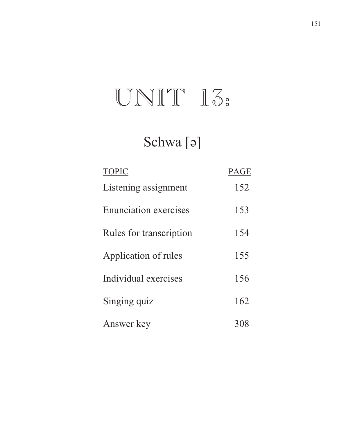## $UNIT 15.$

## Schwa<sup>[</sup>ə]

| <b>TOPIC</b>                 | <b>PAGE</b> |
|------------------------------|-------------|
| Listening assignment         | 152         |
| <b>Enunciation exercises</b> | 153         |
| Rules for transcription      | 154         |
| Application of rules         | 155         |
| Individual exercises         | 156         |
| Singing quiz                 | 162         |
| Answer key                   | 308         |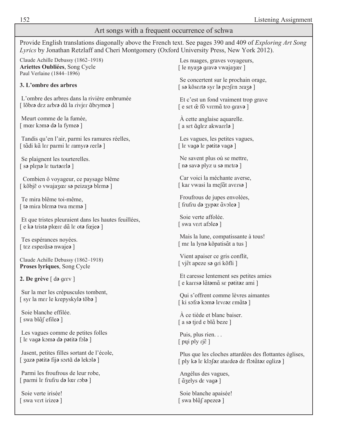#### Art songs with a frequent occurrence of schwa

Provide English translations diagonally above the French text. See pages 390 and 409 of *Exploring Art Song Lyrics* by Jonathan Retzlaff and Cheri Montgomery (Oxford University Press, New York 2012).

Claude Achille Debussy (1862–1918) **Ariettes Oubliées**, Song Cycle Paul Verlaine (1844–1896)

**3. L'ombre des arbres** 

 L'ombre des arbres dans la rivière embrumée [ lõbr**ə** dez arbr**ə** dã la rivjer ãbryme**ə** ]

 Meurt comme de la fumée, [ mœr kɔm**ə** d**ə** la fyme**ə**]

 Tandis qu'en l'air, parmi les ramures réelles,  $[$  tãdi kã lɛɾ paɾmi lɛ ɾamyɾ**ə** ɾeɛl**ə** ]

 Se plaignent les tourterelles.  $[$  sa plena le turtarela ]

 Combien ô voyageur, ce paysage blême  $[$  kõbj $\tilde{\epsilon}$  o vwajazœr sa peizaza blɛma ]

 Te mira blême toi-même, [ t**a** mira blema twa mema ]

 Et que tristes pleuraient dans les hautes feuillées,  $[$  e ka trista plœre dã le ota fœjea  $]$ 

 Tes espérances noyées. [ tez esperãsa nwajea ]

Claude Achille Debussy (1862–1918) **Proses lyriques**, Song Cycle

**2. De grève**  $\lceil d \cdot d \rceil$ 

 Sur la mer les crépuscules tombent, [ syr la mer le krepyskyl**ə** tõb**ə** ]

 Soie blanche effilée.  $[$  swa bl $\tilde{a}$  $\int$  efile $\theta$  $]$ 

 Les vagues comme de petites folles  $\lceil \lg \text{vagg} \cdot \text{kom} \cdot \text{d} \cdot \text{partial} \cdot \text{d} \cdot \text{d} \rceil$ 

 Jasent, petites filles sortant de l'école,  $[$  3azə pətitə fijə sərtã də lekələ ]

 Parmi les froufrous de leur robe, [ parmi lɛ frufru d**ə** lœr rob**ə** ]

 Soie verte irisée! [ swa vert irize**ə** ]

 Les nuages, graves voyageurs, [ le nyaz**ə** qrav**ə** vwajazœr ]

 Se concertent sur le prochain orage,  $\lceil$  sa kõserta syr la profen oraza ]

 Et c'est un fond vraiment trop grave  $[$  e sɛt  $\tilde{\mathfrak{E}}$  fõ vɾɛmɑ̃ tɾo gɾav**ə**  $]$ 

 À cette anglaise aquarelle.  $[$  a set  $\tilde{a}$ glez akwarel $\mathfrak{g}$   $]$ 

 Les vagues, les petites vagues,  $\lceil \lg \text{vagg} \rceil$  la patita vaga

 Ne savent plus où se mettre,  $\lceil$  n**ə** sav**ə** plyz u s**ə** metr**ə**  $\lceil$ 

 Car voici la méchante averse, [ kar vwasi la meʃɑ̃t avers**a** ]

 Froufrous de jupes envolées,  $[$  frufru də zypəz  $\tilde{a}$ vəleə  $]$ 

 Soie verte affolée. [ swa vert afole**a** ]

 Mais la lune, compatissante à tous!  $[$  mɛ la lyn**ə** kõpatis $\tilde{a}$ t a tus  $]$ 

 Vient apaiser ce gris conflit, [ vj $\tilde{e}$ t apeze s**ə** gri kõfli ]

 Et caresse lentement ses petites amies  $[$  e kar $\epsilon$ sə lãtəmã s $\epsilon$  pətitəz ami  $]$ 

 Qui s'offrent comme lèvres aimantes  $[k]$  ki səfr**ə** kəm**ə** levr**ə**z emãt**ə** ]

 À ce tiède et blanc baiser. [ a s**ə** tjed e blã beze ]

 Puis, plus rien. . .  $[$  pųi ply  $rj\tilde{\epsilon}$   $]$ 

 Plus que les cloches attardées des flottantes églises, [ ply k**ԥ** lܭ klݕܧ**ԥ**z ataݐde**ԥ** dܭ flܧtܤѺ t**ԥ**z eܳliz**ԥ** ]

 Angélus des vagues, [  $\tilde{a}$ zelys de vag**ə** ]

 Soie blanche apaisée!  $[$  swa bl $\tilde{a}$  $\int$  apeze $\cdot$ **]**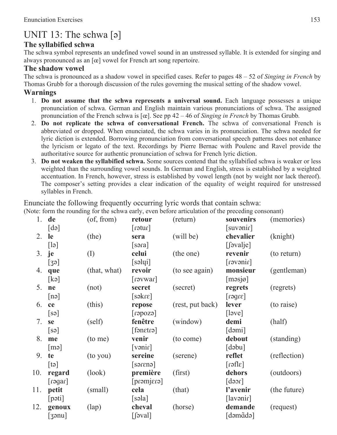### UNIT 13: The schwa  $\lceil 9 \rceil$

#### **The syllabified schwa**

The schwa symbol represents an undefined vowel sound in an unstressed syllable. It is extended for singing and always pronounced as an [œ] vowel for French art song repertoire.

#### **The shadow vowel**

The schwa is pronounced as a shadow vowel in specified cases. Refer to pages 48 – 52 of *Singing in French* by Thomas Grubb for a thorough discussion of the rules governing the musical setting of the shadow vowel.

#### **Warnings**

- 1. **Do not assume that the schwa represents a universal sound.** Each language possesses a unique pronunciation of schwa. German and English maintain various pronunciations of schwa. The assigned pronunciation of the French schwa is [œ]. See pp 42 – 46 of *Singing in French* by Thomas Grubb*.*
- 2. **Do not replicate the schwa of conversational French.** The schwa of conversational French is abbreviated or dropped. When enunciated, the schwa varies in its pronunciation. The schwa needed for lyric diction is extended. Borrowing pronunciation from conversational speech patterns does not enhance the lyricism or legato of the text. Recordings by Pierre Bernac with Poulenc and Ravel provide the authoritative source for authentic pronunciation of schwa for French lyric diction.
- 3. **Do not weaken the syllabified schwa.** Some sources contend that the syllabified schwa is weaker or less weighted than the surrounding vowel sounds. In German and English, stress is established by a weighted accentuation. In French, however, stress is established by vowel length (not by weight nor lack thereof). The composer's setting provides a clear indication of the equality of weight required for unstressed syllables in French.

Enunciate the following frequently occurring lyric words that contain schwa: (Note: form the rounding for the schwa early, even before articulation of the preceding consonant)

|     |                       |                  |                                     | $\alpha$ form the rounding for the sense early, even before articulation of the preceding consoliding |                                         |              |
|-----|-----------------------|------------------|-------------------------------------|-------------------------------------------------------------------------------------------------------|-----------------------------------------|--------------|
|     | $1.$ de               | $($ of, from $)$ | retour                              | (return)                                                                                              | souvenirs                               | (memories)   |
|     | $\lceil d \rceil$     |                  | $[$ rətur $]$                       |                                                                                                       | [suvənir]                               |              |
| 2.  | le                    | (the)            | sera                                | (will be)                                                                                             | chevalier                               | (knight)     |
|     | $\lceil \cdot \rceil$ |                  | [s <sub>2</sub> ] <sub>3</sub>      |                                                                                                       | $[$ [ $]$ əval $]$ e $]$                |              |
| 3.  | je                    | (I)              | celui                               | (the one)                                                                                             | revenir                                 | (to return)  |
|     | [39]                  |                  | [səlqi]                             |                                                                                                       | [ri <sub>new</sub> ] <sub>1</sub>       |              |
| 4.  | que                   | (that, what)     | revoir                              | (to see again)                                                                                        | monsieur                                | (gentleman)  |
|     | [k]                   |                  | [1.80]                              |                                                                                                       | [məsjø]                                 |              |
| 5.  | ne                    | (not)            | secret                              | (secret)                                                                                              | regrets                                 | (regrets)    |
|     | $[n\partial]$         |                  | $[sakr\epsilon]$                    |                                                                                                       | $\lceil \text{super} \rceil$            |              |
| 6.  | ce                    | (this)           | repose                              | (rest, put back)                                                                                      | lever                                   | (to raise)   |
|     | [s <sub>9</sub> ]     |                  | $\lceil \csc(1) \rceil$             |                                                                                                       | [level]                                 |              |
| 7.  | <b>se</b>             | (self)           | fenêtre                             | (window)                                                                                              | demi                                    | (half)       |
|     | [sə]                  |                  | $[$ fən $\epsilon$ trə $\epsilon$ ] |                                                                                                       | [dəmi]                                  |              |
| 8.  | me                    | (to me)          | venir                               | (to come)                                                                                             | debout                                  | (standing)   |
|     | $\lceil m \rceil$     |                  | [varir]                             |                                                                                                       | $\lceil d \triangleleft b \cdot \rceil$ |              |
| 9.  | te                    | (to you)         | sereine                             | (serene)                                                                                              | reflet                                  | (reflection) |
|     | $[t\Theta]$           |                  | $[$ saren $\epsilon$ ]              |                                                                                                       | $\lceil \text{sller} \rceil$            |              |
| 10. | regard                | (look)           | première                            | (first)                                                                                               | dehors                                  | (outdoors)   |
|     | [3]                   |                  | [praming]                           |                                                                                                       | $\lceil \text{new} \rceil$              |              |
| 11. | petit                 | (small)          | cela                                | (that)                                                                                                | l'avenir                                | (the future) |
|     | $[\text{pəti}]$       |                  | [səla]                              |                                                                                                       | [lawənir]                               |              |
| 12. | genoux                | $(\text{lap})$   | cheval                              | (horse)                                                                                               | demande                                 | (request)    |
|     | [39n]                 |                  | $\left[\int$ $\left[\left[3\right]$ |                                                                                                       | [dəmãdə]                                |              |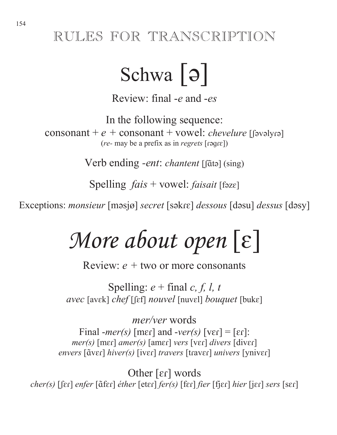## RULES FOR TRANSCRIPTION

## Schwa  $| \Theta |$

Review: final -*e* and -*es*

In the following sequence: consonant +  $e$  + consonant + vowel: *chevelure* [[avalyra]  $(re-$  may be a prefix as in *regrets*  $[$ 

Verb ending -ent: chantent [fata] (sing)

Spelling  $fais + vowel$ :  $fasiait$  [fəze]

Exceptions: *monsieur* [mԥsjø] *secret* [sԥkܭݐ[*dessous* [dԥsu] *dessus* [dԥsy]

# *More about open* [ε]

Review: *e +* two or more consonants

Spelling:  $e + \text{final } c, f, l, t$ *avec* [avɛk] *chef* [[ɛf] *nouvel* [nuvɛl] *bouquet* [bukɛ]

*mer/ver* words Final -*mer(s)* [mer] and -*ver(s)* [ver] = [er]: *mer(s)* [mer] *amer(s)* [amer] *vers* [ver] *divers* [diver]  $e$ *nvers* [ $\tilde{a}$ ver] *hiver(s)* [iver] *travers* [traver] *univers* [yniver]

**Other [ɛɾ] words**<br>cher(s) [ʃɛɾ] enfer [ɑ̃fɛɾ] éther [etɛɾ] fer(s) [fɛɾ] fier [fjɛɾ] hier [jɛɾ] sers [sɛɾ]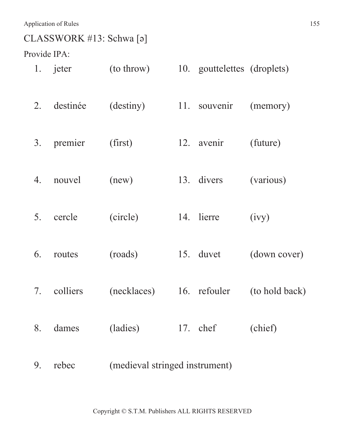### CLASSWORK #13: Schwa [ǝ]

Provide IPA:

| 1. | jeter    | (to throw)                     | 10. gouttelettes (droplets) |                |
|----|----------|--------------------------------|-----------------------------|----------------|
| 2. | destinée | (destiny)                      | 11. souvenir                | (memory)       |
| 3. | premier  | (first)                        | 12. avenir                  | (future)       |
| 4. | nouvel   | (new)                          | 13. divers                  | (various)      |
| 5. | cercle   | (circle)                       | 14. lierre                  | (ivy)          |
| 6. | routes   | (roads)                        | 15. duvet                   | (down cover)   |
| 7. | colliers | (necklaces)                    | 16. refouler                | (to hold back) |
| 8. | dames    | (ladies)                       | 17. chef                    | (chief)        |
| 9. | rebec    | (medieval stringed instrument) |                             |                |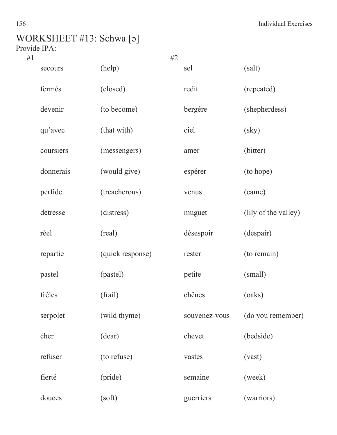## WORKSHEET #13: Schwa [ǝ]

Provide IPA:

| #1 |                   |                  | #2 |               |                        |
|----|-------------------|------------------|----|---------------|------------------------|
|    | (help)<br>secours |                  |    | sel           | (salt)                 |
|    | fermés            | (closed)         |    | redit         | (repeated)             |
|    | devenir           | (to become)      |    | bergère       | (shepherdess)          |
|    | qu'avec           | (that with)      |    | ciel          | $\left($ sky $\right)$ |
|    | coursiers         | (messengers)     |    | amer          | (bitter)               |
|    | donnerais         | (would give)     |    | espérer       | (to hope)              |
|    | perfide           | (treacherous)    |    | venus         | (came)                 |
|    | détresse          | (distress)       |    | muguet        | (lily of the valley)   |
|    | réel              | (real)           |    | désespoir     | (despair)              |
|    | repartie          | (quick response) |    | rester        | (to remain)            |
|    | pastel            | (pastel)         |    | petite        | (small)                |
|    | frêles            | (frail)          |    | chênes        | (oaks)                 |
|    | serpolet          | (wild thyme)     |    | souvenez-vous | (do you remember)      |
|    | cher              | (dear)           |    | chevet        | (bedside)              |
|    | refuser           | (to refuse)      |    | vastes        | (vast)                 |
|    | fierté            | (pride)          |    | semaine       | (week)                 |
|    | douces            | (soft)           |    | guerriers     | (warriors)             |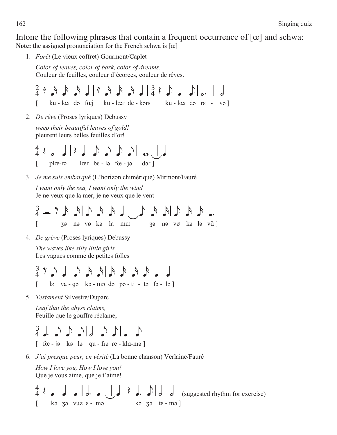Intone the following phrases that contain a frequent occurrence of  $[\alpha]$  and schwa: **Note:** the assigned pronunciation for the French schwa is [œ]

1. *Forêt* (Le vieux coffret) Gourmont/Caplet

*Color of leaves, color of bark, color of dreams.* Couleur de feuilles, couleur d'écorces, couleur de rêves.

@ S s s s q\S s s s q\# Q e q e\d \ h  $\begin{bmatrix} ku - \sec d\theta & \sec d\theta \end{bmatrix}$  ku -  $\begin{bmatrix} \sec d\theta & \sec d\theta & \sec d\theta \end{bmatrix}$ 

2. *De rêve* (Proses lyriques) Debussy

*weep their beautiful leaves of gold!* pleurent leurs belles feuilles d'or!

 $| \cdot | : \bot \cup \cup \cup \cup \cup \cup \cup \cup \cup \cup \cup$  $\lceil$  plœ-r $\theta$  lœr be-l $\theta$  fœ-j $\theta$  dor

3. *Je me suis embarqué* (L'horizon chimérique) Mirmont/Fauré

*I want only the sea, I want only the wind* Je ne veux que la mer, je ne veux que le vent

 $\frac{3}{2}$   $=$   $\frac{1}{2}$   $=$   $\frac{1}{2}$   $=$   $\frac{1}{2}$   $=$   $\frac{1}{2}$   $=$   $\frac{1}{2}$   $=$   $\frac{1}{2}$   $=$   $\frac{1}{2}$   $=$   $\frac{1}{2}$  $\begin{bmatrix} 0 & \text{if } 0 & \text{if } 0 & \text{if } 0 & \text{if } 0 & \text{if } 0 & \text{if } 0 & \text{if } 0 & \text{if } 0 & \text{if } 0 & \text{if } 0 & \text{if } 0 & \text{if } 0 & \text{if } 0 & \text{if } 0 & \text{if } 0 & \text{if } 0 & \text{if } 0 & \text{if } 0 & \text{if } 0 & \text{if } 0 & \text{if } 0 & \text{if } 0 & \text{if } 0 & \text{if } 0 & \text{if } 0 & \text{if } 0 & \text{$  $\overline{3}$  a  $\overline{1}$   $\overline{9}$   $\overline{1}$   $\overline{9}$   $\overline{1}$   $\overline{2}$   $\overline{1}$   $\overline{2}$   $\overline{1}$   $\overline{2}$   $\overline{1}$   $\overline{2}$   $\overline{1}$   $\overline{2}$   $\overline{1}$   $\overline{2}$   $\overline{1}$   $\overline{2}$   $\overline{1}$   $\overline{2}$   $\overline{1}$   $\overline{2}$   $\overline{1}$   $\over$ 

4. *De grève* (Proses lyriques) Debussy

*The waves like silly little girls*  Les vagues comme de petites folles

 $\begin{array}{c} \texttt{L} \texttt{L} \texttt{A} \texttt{A} \texttt{A} \texttt{A} \texttt{A} \texttt{A} \texttt{A} \texttt{A} \texttt{A} \texttt{A} \texttt{A} \texttt{A} \texttt{B} \texttt{B} \texttt{B} \end{array}$  $\begin{bmatrix} \phantom{i} \phantom{i} \phantom{i} \end{bmatrix}$  lɛ va - qə kɔ - mə də pə - ti - tə fɔ - lə  $\begin{bmatrix} \phantom{i} \phantom{i} \end{bmatrix}$ 

5. *Testament* Silvestre/Duparc

*Leaf that the abyss claims,* Feuille que le gouffre réclame,

## $\frac{3}{4}$  j.  $\Delta$   $\Delta$   $\Delta$  eq.  $\Delta$  eq.  $\Delta$  eq.  $\Delta$

 $\lceil$  fœ - jə kə lə qu - frə re - kla-mə  $\lceil$ 

6. *J'ai presque peur, en vérité* (La bonne chanson) Verlaine/Fauré

*How I love you, How I love you!* Que je vous aime, que je t'aime!

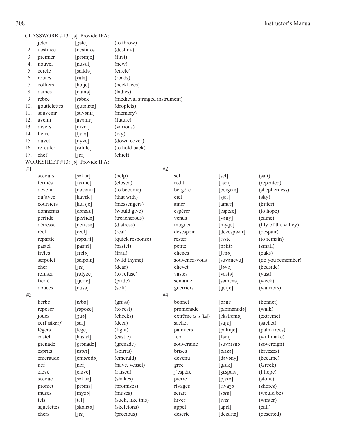|  |  |  |  |  | CLASSWORK #13: [a] Provide IPA: |
|--|--|--|--|--|---------------------------------|
|--|--|--|--|--|---------------------------------|

| 1.  | jeter        | $\lceil$ 3əte $\rceil$ | (to throw)                     |
|-----|--------------|------------------------|--------------------------------|
| 2.  | destinée     | [destinea]             | (destiny)                      |
| 3.  | premier      | [promje]               | (first)                        |
| 4.  | nouvel       | $[{\rm nuvel}]$        | (new)                          |
| 5.  | cercle       | [sɛɾklə]               | (circle)                       |
| 6.  | routes       | $[$ ctutə $]$          | (roads)                        |
| 7.  | colliers     | [kolje]                | (necklaces)                    |
| 8.  | dames        | [damə]                 | (ladies)                       |
| 9.  | rebec        | [rəbɛk]                | (medieval stringed instrument) |
| 10. | gouttelettes | [qutaleta]             | (droplets)                     |
| 11. | souvenir     | [suvənir]              | (memory)                       |
| 12. | avenir       | [avənir]               | (future)                       |
| 13. | divers       | [i]                    | (various)                      |
| 14. | lierre       | $[$ ensi $]$           | (ivy)                          |
| 15. | duvet        | $[dyv\epsilon]$        | (down cover)                   |
| 16. | refouler     | [rəfule]               | (to hold back)                 |
| 17. | chef         | $[[\varepsilon f]$     | (chief)                        |

|    |                    | WORKSHEET #13: [a] Provide IPA: |                   |                     |                                                                                                                                                                                                                                |                        |
|----|--------------------|---------------------------------|-------------------|---------------------|--------------------------------------------------------------------------------------------------------------------------------------------------------------------------------------------------------------------------------|------------------------|
| #1 |                    |                                 |                   | #2                  |                                                                                                                                                                                                                                |                        |
|    | secours            | [səkur]                         | (help)            | sel                 | $[s\epsilon]$                                                                                                                                                                                                                  | (salt)                 |
|    | fermés             | [fɛrme]                         | (closed)          | redit               | [rodi]                                                                                                                                                                                                                         | (repeated)             |
|    | devenir            | [dəvənir]                       | (to become)       | bergère             | $[$ ens $z$ nad $]$                                                                                                                                                                                                            | (shepherdess)          |
|    | qu'avec            | [kavɛk]                         | (that with)       | ciel                | [sjel]                                                                                                                                                                                                                         | $\left($ sky $\right)$ |
|    | coursiers          | [kursje]                        | (messengers)      | amer                | [amer]                                                                                                                                                                                                                         | (bitter)               |
|    | donnerais          | [denote]                        | (would give)      | espérer             | [ensure]                                                                                                                                                                                                                       | (to hope)              |
|    | perfide            | [perfidə]                       | (treacherous)     | venus               | $[$ vəny $]$                                                                                                                                                                                                                   | (came)                 |
|    | détresse           | [detresa]                       | (distress)        | muguet              | [myge]                                                                                                                                                                                                                         | (lily of the valley)   |
|    | réel               | [ref]                           | (real)            | désespoir           | [dezespwar]                                                                                                                                                                                                                    | (despair)              |
|    | repartie           | [raparti]                       | (quick response)  | rester              | [reset]                                                                                                                                                                                                                        | (to remain)            |
|    | pastel             | [pastel]                        | (pastel)          | petite              | [pətitə]                                                                                                                                                                                                                       | (small)                |
|    | frêles             | [false]                         | (frail)           | chênes              | $[$ fenə $]$                                                                                                                                                                                                                   | (oaks)                 |
|    | serpolet           | [stepole]                       | (wild thyme)      | souvenez-vous       | [suvonevu]                                                                                                                                                                                                                     | (do you remember)      |
|    | cher               | $[$ far $]$                     | (dear)            | chevet              | $\lceil \text{SVE} \rceil$                                                                                                                                                                                                     | (bedside)              |
|    | refuser            | [rəfyze]                        | (to refuse)       | vastes              | [vastə]                                                                                                                                                                                                                        | (vast)                 |
|    | fierté             | [fjɛrte]                        | (pride)           | semaine             | [səmenə]                                                                                                                                                                                                                       | (week)                 |
|    | douces             | [dusə]                          | (soft)            | guerriers           | [gerje]                                                                                                                                                                                                                        | (warriors)             |
| #3 |                    |                                 |                   | #4                  |                                                                                                                                                                                                                                |                        |
|    | herbe              | [efds]                          | (grass)           | bonnet              | [bone]                                                                                                                                                                                                                         | (bonnet)               |
|    | reposer            | [rapoze]                        | (to rest)         | promenade           | [promonado]                                                                                                                                                                                                                    | (walk)                 |
|    | joues              | [3uə]                           | (cheeks)          | extrême (x is [ks]) | [ekstrema]                                                                                                                                                                                                                     | (extreme)              |
|    | cerf (silent $f$ ) | [ser]                           | (deer)            | sachet              | $[sa]\epsilon]$                                                                                                                                                                                                                | (sachet)               |
|    | légers             | [lege]                          | (light)           | palmiers            | [palmje]                                                                                                                                                                                                                       | (palm trees)           |
|    | castel             | [kastel]                        | (castle)          | fera                | $[$ fəra $]$                                                                                                                                                                                                                   | (will make)            |
|    | grenade            | [gronado]                       | (grenade)         | souveraine          | [suvərenə]                                                                                                                                                                                                                     | (sovereign)            |
|    | esprits            | [espri]                         | (spirits)         | brises              | [briza]                                                                                                                                                                                                                        | (breezes)              |
|    | émeraude           | [emaroda]                       | (emerald)         | devenu              | [dəvəny]                                                                                                                                                                                                                       | (became)               |
|    | nef                | $[n \varepsilon f]$             | (nave, vessel)    | grec                | [grek]                                                                                                                                                                                                                         | (Greek)                |
|    | élevé              | [eləve]                         | (raised)          | j'espère            | $[s_1s_2s_3s_4s_5s_1s_2s_3s_4s_4s_5s_1s_2s_3s_4s_4s_5s_1s_2s_3s_4s_4s_5s_1s_2s_3s_4s_4s_5s_1s_2s_3s_4s_4s_5s_1s_2s_3s_4s_4s_5s_1s_2s_3s_4s_4s_5s_1s_2s_3s_4s_4s_5s_1s_4s_4s_4s_5s_1s_4s_4s_4s_5s_1s_4s_4s_4s_5s_1s_4s_4s_4s_4$ | (I hope)               |
|    | secoue             | [səkuə]                         | (shakes)          | pierre              | [pjɛrə]                                                                                                                                                                                                                        | (stone)                |
|    | promet             | [prome]                         | (promises)        | rivages             | [rivazə]                                                                                                                                                                                                                       | (shores)               |
|    | muses              | [myzə]                          | (muses)           | serait              | [s <sub>2</sub> ] <sub>5</sub>                                                                                                                                                                                                 | (would be)             |
|    | tels               | $[t\epsilon]$                   | (such, like this) | hiver               | $[i\vec{\triangledown}$                                                                                                                                                                                                        | (winter)               |
|    | squelettes         | [skəlɛtə]                       | (skeletons)       | appel               | [ape1]                                                                                                                                                                                                                         | (call)                 |
|    | chers              | $[$ f $\epsilon$ r]             | (precious)        | déserte             | [dezertə]                                                                                                                                                                                                                      | (deserted)             |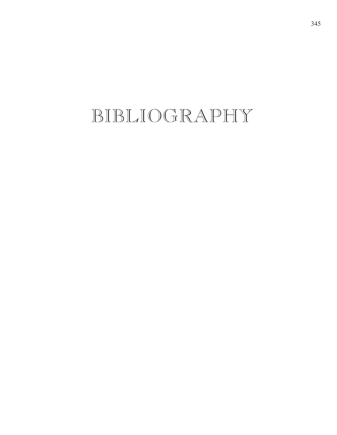## BIBLIOGRAPHY